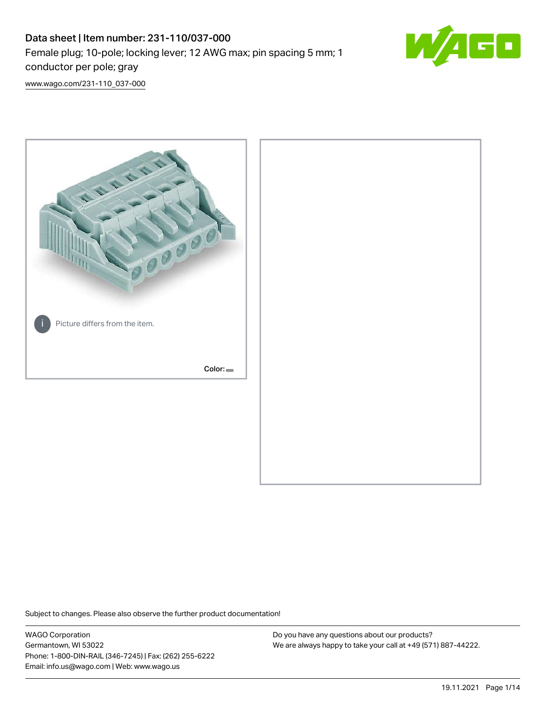## Data sheet | Item number: 231-110/037-000 Female plug; 10-pole; locking lever; 12 AWG max; pin spacing 5 mm; 1 conductor per pole; gray



[www.wago.com/231-110\\_037-000](http://www.wago.com/231-110_037-000)



Subject to changes. Please also observe the further product documentation!

WAGO Corporation Germantown, WI 53022 Phone: 1-800-DIN-RAIL (346-7245) | Fax: (262) 255-6222 Email: info.us@wago.com | Web: www.wago.us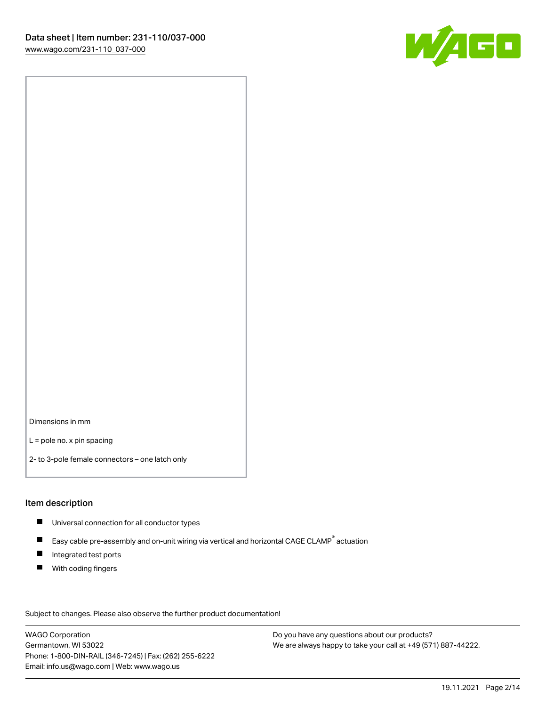

Dimensions in mm

L = pole no. x pin spacing

2- to 3-pole female connectors – one latch only

#### Item description

- **Universal connection for all conductor types**
- Easy cable pre-assembly and on-unit wiring via vertical and horizontal CAGE CLAMP<sup>®</sup> actuation  $\blacksquare$
- $\blacksquare$ Integrated test ports
- $\blacksquare$ With coding fingers

Subject to changes. Please also observe the further product documentation! Data

WAGO Corporation Germantown, WI 53022 Phone: 1-800-DIN-RAIL (346-7245) | Fax: (262) 255-6222 Email: info.us@wago.com | Web: www.wago.us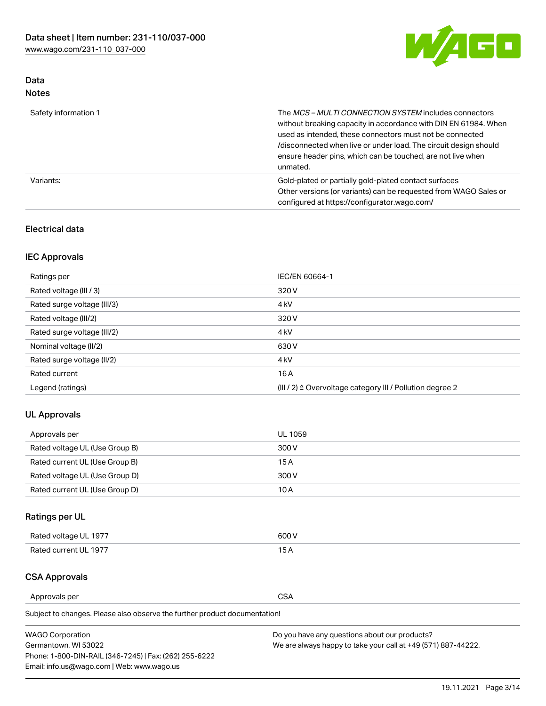

## Data Notes

| Safety information 1 | The <i>MCS – MULTI CONNECTION SYSTEM</i> includes connectors<br>without breaking capacity in accordance with DIN EN 61984. When<br>used as intended, these connectors must not be connected<br>/disconnected when live or under load. The circuit design should<br>ensure header pins, which can be touched, are not live when<br>unmated. |
|----------------------|--------------------------------------------------------------------------------------------------------------------------------------------------------------------------------------------------------------------------------------------------------------------------------------------------------------------------------------------|
| Variants:            | Gold-plated or partially gold-plated contact surfaces<br>Other versions (or variants) can be requested from WAGO Sales or<br>configured at https://configurator.wago.com/                                                                                                                                                                  |

## Electrical data

## IEC Approvals

| Ratings per                 | IEC/EN 60664-1                                                        |
|-----------------------------|-----------------------------------------------------------------------|
| Rated voltage (III / 3)     | 320 V                                                                 |
| Rated surge voltage (III/3) | 4 <sub>k</sub> V                                                      |
| Rated voltage (III/2)       | 320 V                                                                 |
| Rated surge voltage (III/2) | 4 <sub>k</sub> V                                                      |
| Nominal voltage (II/2)      | 630 V                                                                 |
| Rated surge voltage (II/2)  | 4 <sub>k</sub> V                                                      |
| Rated current               | 16A                                                                   |
| Legend (ratings)            | $(III / 2)$ $\triangle$ Overvoltage category III / Pollution degree 2 |

## UL Approvals

| Approvals per                  | UL 1059 |
|--------------------------------|---------|
| Rated voltage UL (Use Group B) | 300 V   |
| Rated current UL (Use Group B) | 15 A    |
| Rated voltage UL (Use Group D) | 300 V   |
| Rated current UL (Use Group D) | 10 A    |

## Ratings per UL

| Rated voltage UL 1977 | 600 V         |
|-----------------------|---------------|
| Rated current UL 1977 | $\sim$ $\sim$ |

## CSA Approvals

Approvals per CSA

Subject to changes. Please also observe the further product documentation!

| <b>WAGO Corporation</b>                                | Do you have any questions about our products?                 |
|--------------------------------------------------------|---------------------------------------------------------------|
| Germantown, WI 53022                                   | We are always happy to take your call at +49 (571) 887-44222. |
| Phone: 1-800-DIN-RAIL (346-7245)   Fax: (262) 255-6222 |                                                               |
| Email: info.us@wago.com   Web: www.wago.us             |                                                               |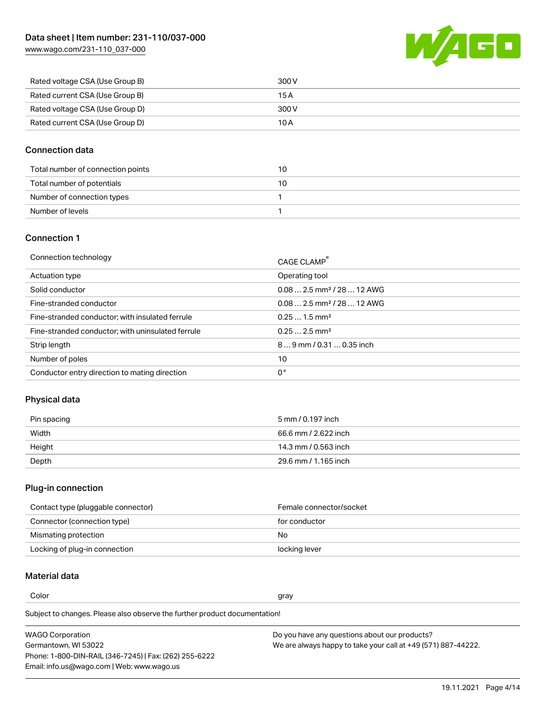W/4GC

| Rated voltage CSA (Use Group B) | 300 V |
|---------------------------------|-------|
| Rated current CSA (Use Group B) | 15 A  |
| Rated voltage CSA (Use Group D) | 300 V |
| Rated current CSA (Use Group D) | 10 A  |

## Connection data

| Total number of connection points | 10 |
|-----------------------------------|----|
| Total number of potentials        | 10 |
| Number of connection types        |    |
| Number of levels                  |    |

#### Connection 1

| Operating tool<br>Actuation type<br>$0.082.5$ mm <sup>2</sup> / 28  12 AWG<br>Solid conductor<br>$0.082.5$ mm <sup>2</sup> / 28  12 AWG<br>Fine-stranded conductor<br>$0.251.5$ mm <sup>2</sup><br>Fine-stranded conductor; with insulated ferrule<br>$0.252.5$ mm <sup>2</sup><br>Fine-stranded conductor; with uninsulated ferrule<br>Strip length<br>$89$ mm $/$ 0.31  0.35 inch<br>Number of poles<br>10<br>0°<br>Conductor entry direction to mating direction | Connection technology | CAGE CLAMP <sup>®</sup> |
|---------------------------------------------------------------------------------------------------------------------------------------------------------------------------------------------------------------------------------------------------------------------------------------------------------------------------------------------------------------------------------------------------------------------------------------------------------------------|-----------------------|-------------------------|
|                                                                                                                                                                                                                                                                                                                                                                                                                                                                     |                       |                         |
|                                                                                                                                                                                                                                                                                                                                                                                                                                                                     |                       |                         |
|                                                                                                                                                                                                                                                                                                                                                                                                                                                                     |                       |                         |
|                                                                                                                                                                                                                                                                                                                                                                                                                                                                     |                       |                         |
|                                                                                                                                                                                                                                                                                                                                                                                                                                                                     |                       |                         |
|                                                                                                                                                                                                                                                                                                                                                                                                                                                                     |                       |                         |
|                                                                                                                                                                                                                                                                                                                                                                                                                                                                     |                       |                         |
|                                                                                                                                                                                                                                                                                                                                                                                                                                                                     |                       |                         |

## Physical data

| Pin spacing | 5 mm / 0.197 inch    |
|-------------|----------------------|
| Width       | 66.6 mm / 2.622 inch |
| Height      | 14.3 mm / 0.563 inch |
| Depth       | 29.6 mm / 1.165 inch |

#### Plug-in connection

| Contact type (pluggable connector) | Female connector/socket |
|------------------------------------|-------------------------|
| Connector (connection type)        | for conductor           |
| Mismating protection               | No                      |
| Locking of plug-in connection      | locking lever           |

## Material data

Color and the color of the color of the color of the color of the color of the color of the color of the color

Subject to changes. Please also observe the further product documentation! Material group I

| <b>WAGO Corporation</b>                                | Do you have any questions about our products?                 |
|--------------------------------------------------------|---------------------------------------------------------------|
| Germantown, WI 53022                                   | We are always happy to take your call at +49 (571) 887-44222. |
| Phone: 1-800-DIN-RAIL (346-7245)   Fax: (262) 255-6222 |                                                               |
| Email: info.us@wago.com   Web: www.wago.us             |                                                               |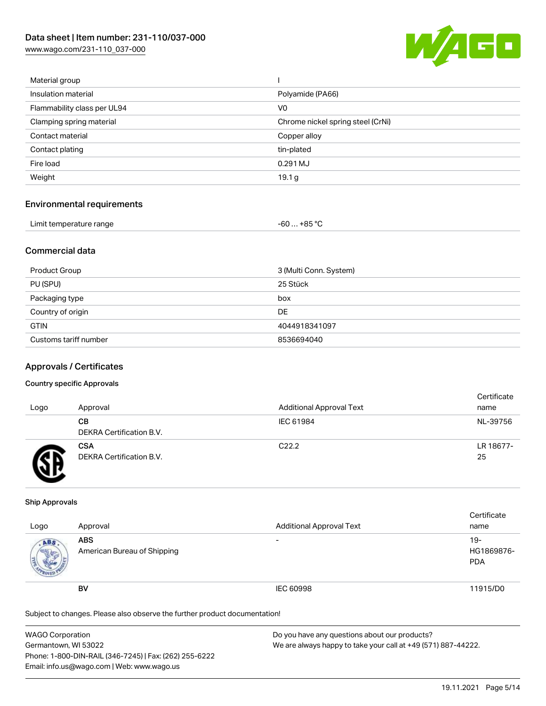[www.wago.com/231-110\\_037-000](http://www.wago.com/231-110_037-000)



| Material group              |                                   |
|-----------------------------|-----------------------------------|
| Insulation material         | Polyamide (PA66)                  |
| Flammability class per UL94 | V <sub>0</sub>                    |
| Clamping spring material    | Chrome nickel spring steel (CrNi) |
| Contact material            | Copper alloy                      |
| Contact plating             | tin-plated                        |
| Fire load                   | 0.291 MJ                          |
| Weight                      | 19.1 <sub>g</sub>                 |
|                             |                                   |

#### Environmental requirements

| Limit temperature range | $-60+85 °C$ |  |
|-------------------------|-------------|--|
|-------------------------|-------------|--|

## Commercial data

| Product Group         | 3 (Multi Conn. System) |
|-----------------------|------------------------|
| PU (SPU)              | 25 Stück               |
| Packaging type        | box                    |
| Country of origin     | DE                     |
| <b>GTIN</b>           | 4044918341097          |
| Customs tariff number | 8536694040             |

#### Approvals / Certificates

#### Country specific Approvals

| Logo | Approval                               | <b>Additional Approval Text</b> | Certificate<br>name |
|------|----------------------------------------|---------------------------------|---------------------|
|      | CВ<br>DEKRA Certification B.V.         | IEC 61984                       | NL-39756            |
|      | <b>CSA</b><br>DEKRA Certification B.V. | C <sub>22.2</sub>               | LR 18677-<br>25     |

#### Ship Approvals

| Logo                | Approval                                  | <b>Additional Approval Text</b> | Certificate<br>name             |
|---------------------|-------------------------------------------|---------------------------------|---------------------------------|
| ABS<br><b>SALES</b> | <b>ABS</b><br>American Bureau of Shipping | $\overline{\phantom{0}}$        | 19-<br>HG1869876-<br><b>PDA</b> |
|                     | <b>BV</b>                                 | <b>IEC 60998</b>                | 11915/D0                        |

Subject to changes. Please also observe the further product documentation!

| <b>WAGO Corporation</b>                                | Do you have any questions about our products?                 |
|--------------------------------------------------------|---------------------------------------------------------------|
| Germantown, WI 53022                                   | We are always happy to take your call at +49 (571) 887-44222. |
| Phone: 1-800-DIN-RAIL (346-7245)   Fax: (262) 255-6222 |                                                               |
| Email: info.us@wago.com   Web: www.wago.us             |                                                               |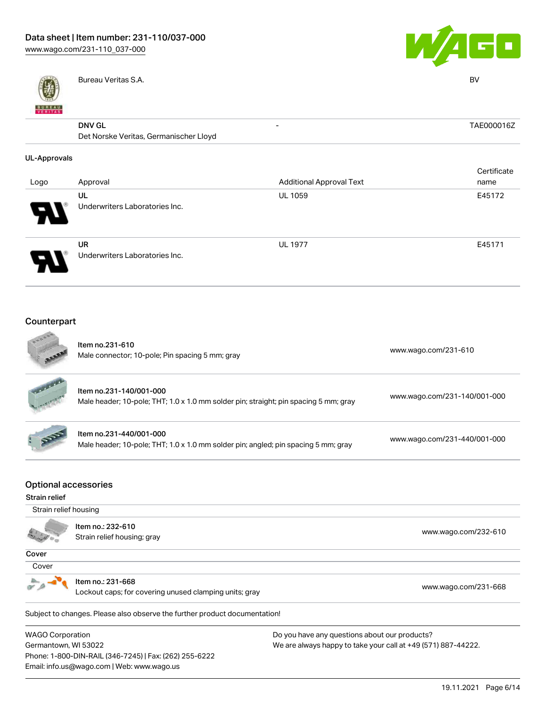



|                          | Bureau Veritas S.A.                    |                                 | <b>BV</b>   |
|--------------------------|----------------------------------------|---------------------------------|-------------|
| <b>BUREAU</b><br>VERITAS |                                        |                                 |             |
|                          | <b>DNV GL</b>                          | -                               | TAE000016Z  |
|                          | Det Norske Veritas, Germanischer Lloyd |                                 |             |
| <b>UL-Approvals</b>      |                                        |                                 |             |
|                          |                                        |                                 | Certificate |
| Logo                     | Approval                               | <b>Additional Approval Text</b> | name        |
|                          | UL                                     | UL 1059                         | E45172      |
|                          | Underwriters Laboratories Inc.         |                                 |             |
|                          | UR                                     | <b>UL 1977</b>                  | E45171      |
|                          | Underwriters Laboratories Inc.         |                                 |             |
|                          |                                        |                                 |             |
|                          |                                        |                                 |             |

#### Counterpart  $\sim$

Email: info.us@wago.com | Web: www.wago.us

|                                                        | Item no.231-610<br>Male connector; 10-pole; Pin spacing 5 mm; gray                                              | www.wago.com/231-610                                          |  |  |
|--------------------------------------------------------|-----------------------------------------------------------------------------------------------------------------|---------------------------------------------------------------|--|--|
|                                                        | Item no.231-140/001-000<br>Male header; 10-pole; THT; 1.0 x 1.0 mm solder pin; straight; pin spacing 5 mm; gray | www.wago.com/231-140/001-000                                  |  |  |
|                                                        | Item no.231-440/001-000<br>Male header; 10-pole; THT; 1.0 x 1.0 mm solder pin; angled; pin spacing 5 mm; gray   | www.wago.com/231-440/001-000                                  |  |  |
| <b>Optional accessories</b>                            |                                                                                                                 |                                                               |  |  |
| Strain relief                                          |                                                                                                                 |                                                               |  |  |
| Strain relief housing                                  |                                                                                                                 |                                                               |  |  |
|                                                        | Item no.: 232-610<br>Strain relief housing; gray                                                                | www.wago.com/232-610                                          |  |  |
| Cover                                                  |                                                                                                                 |                                                               |  |  |
| Cover                                                  |                                                                                                                 |                                                               |  |  |
|                                                        | Item no.: 231-668<br>Lockout caps; for covering unused clamping units; gray                                     | www.wago.com/231-668                                          |  |  |
|                                                        | Subject to changes. Please also observe the further product documentation!                                      |                                                               |  |  |
| <b>WAGO Corporation</b>                                |                                                                                                                 | Do you have any questions about our products?                 |  |  |
| Germantown, WI 53022                                   |                                                                                                                 | We are always happy to take your call at +49 (571) 887-44222. |  |  |
| Phone: 1-800-DIN-RAIL (346-7245)   Fax: (262) 255-6222 |                                                                                                                 |                                                               |  |  |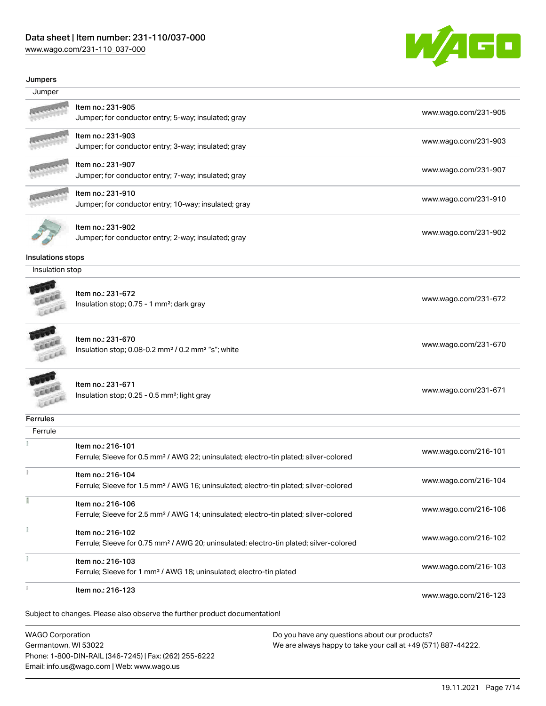# Data sheet | Item number: 231-110/037-000

Phone: 1-800-DIN-RAIL (346-7245) | Fax: (262) 255-6222

Email: info.us@wago.com | Web: www.wago.us

[www.wago.com/231-110\\_037-000](http://www.wago.com/231-110_037-000)



#### Jumpers

| Jumper                                          |                                                                                                                         |                      |
|-------------------------------------------------|-------------------------------------------------------------------------------------------------------------------------|----------------------|
|                                                 | Item no.: 231-905<br>Jumper; for conductor entry; 5-way; insulated; gray                                                | www.wago.com/231-905 |
|                                                 | Item no.: 231-903<br>Jumper; for conductor entry; 3-way; insulated; gray                                                | www.wago.com/231-903 |
|                                                 | Item no.: 231-907<br>Jumper; for conductor entry; 7-way; insulated; gray                                                | www.wago.com/231-907 |
|                                                 | Item no.: 231-910<br>Jumper; for conductor entry; 10-way; insulated; gray                                               | www.wago.com/231-910 |
|                                                 | Item no.: 231-902<br>Jumper; for conductor entry; 2-way; insulated; gray                                                | www.wago.com/231-902 |
| Insulations stops                               |                                                                                                                         |                      |
| Insulation stop                                 |                                                                                                                         |                      |
|                                                 | Item no.: 231-672<br>Insulation stop; 0.75 - 1 mm <sup>2</sup> ; dark gray                                              | www.wago.com/231-672 |
|                                                 | Item no.: 231-670<br>Insulation stop; 0.08-0.2 mm <sup>2</sup> / 0.2 mm <sup>2</sup> "s"; white                         | www.wago.com/231-670 |
|                                                 | Item no.: 231-671<br>Insulation stop; 0.25 - 0.5 mm <sup>2</sup> ; light gray                                           | www.wago.com/231-671 |
| Ferrules                                        |                                                                                                                         |                      |
| Ferrule                                         |                                                                                                                         |                      |
|                                                 | Item no.: 216-101<br>Ferrule; Sleeve for 0.5 mm <sup>2</sup> / AWG 22; uninsulated; electro-tin plated; silver-colored  | www.wago.com/216-101 |
|                                                 | Item no.: 216-104<br>Ferrule; Sleeve for 1.5 mm <sup>2</sup> / AWG 16; uninsulated; electro-tin plated; silver-colored  | www.wago.com/216-104 |
|                                                 | Item no.: 216-106<br>Ferrule; Sleeve for 2.5 mm <sup>2</sup> / AWG 14; uninsulated; electro-tin plated; silver-colored  | www.wago.com/216-106 |
|                                                 | Item no.: 216-102<br>Ferrule; Sleeve for 0.75 mm <sup>2</sup> / AWG 20; uninsulated; electro-tin plated; silver-colored | www.wago.com/216-102 |
|                                                 | Item no.: 216-103<br>Ferrule; Sleeve for 1 mm <sup>2</sup> / AWG 18; uninsulated; electro-tin plated                    | www.wago.com/216-103 |
|                                                 | Item no.: 216-123                                                                                                       | www.wago.com/216-123 |
|                                                 | Subject to changes. Please also observe the further product documentation!                                              |                      |
| <b>WAGO Corporation</b><br>Germantown, WI 53022 | Do you have any questions about our products?<br>We are always happy to take your call at +49 (571) 887-44222.          |                      |

19.11.2021 Page 7/14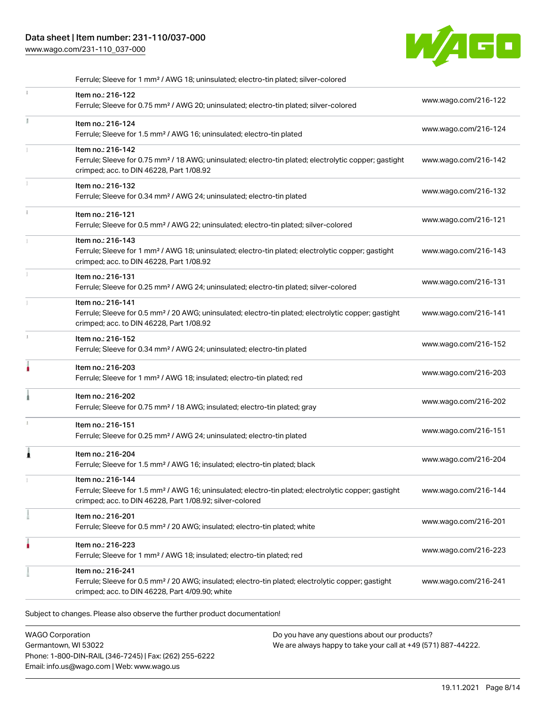## Data sheet | Item number: 231-110/037-000

[www.wago.com/231-110\\_037-000](http://www.wago.com/231-110_037-000)



|               | Ferrule; Sleeve for 1 mm <sup>2</sup> / AWG 18; uninsulated; electro-tin plated; silver-colored                                                                                                   |                      |
|---------------|---------------------------------------------------------------------------------------------------------------------------------------------------------------------------------------------------|----------------------|
|               | Item no.: 216-122<br>Ferrule; Sleeve for 0.75 mm <sup>2</sup> / AWG 20; uninsulated; electro-tin plated; silver-colored                                                                           | www.wago.com/216-122 |
| ă.            | Item no.: 216-124<br>Ferrule; Sleeve for 1.5 mm <sup>2</sup> / AWG 16; uninsulated; electro-tin plated                                                                                            | www.wago.com/216-124 |
|               | Item no.: 216-142<br>Ferrule; Sleeve for 0.75 mm <sup>2</sup> / 18 AWG; uninsulated; electro-tin plated; electrolytic copper; gastight<br>crimped; acc. to DIN 46228, Part 1/08.92                | www.wago.com/216-142 |
|               | Item no.: 216-132<br>Ferrule; Sleeve for 0.34 mm <sup>2</sup> / AWG 24; uninsulated; electro-tin plated                                                                                           | www.wago.com/216-132 |
| $\mathbbm{1}$ | Item no.: 216-121<br>Ferrule; Sleeve for 0.5 mm <sup>2</sup> / AWG 22; uninsulated; electro-tin plated; silver-colored                                                                            | www.wago.com/216-121 |
|               | Item no.: 216-143<br>Ferrule; Sleeve for 1 mm <sup>2</sup> / AWG 18; uninsulated; electro-tin plated; electrolytic copper; gastight<br>crimped; acc. to DIN 46228, Part 1/08.92                   | www.wago.com/216-143 |
|               | Item no.: 216-131<br>Ferrule; Sleeve for 0.25 mm <sup>2</sup> / AWG 24; uninsulated; electro-tin plated; silver-colored                                                                           | www.wago.com/216-131 |
|               | Item no.: 216-141<br>Ferrule; Sleeve for 0.5 mm <sup>2</sup> / 20 AWG; uninsulated; electro-tin plated; electrolytic copper; gastight<br>crimped; acc. to DIN 46228, Part 1/08.92                 | www.wago.com/216-141 |
| ı.            | Item no.: 216-152<br>Ferrule; Sleeve for 0.34 mm <sup>2</sup> / AWG 24; uninsulated; electro-tin plated                                                                                           | www.wago.com/216-152 |
| ۸             | Item no.: 216-203<br>Ferrule; Sleeve for 1 mm <sup>2</sup> / AWG 18; insulated; electro-tin plated; red                                                                                           | www.wago.com/216-203 |
|               | Item no.: 216-202<br>Ferrule; Sleeve for 0.75 mm <sup>2</sup> / 18 AWG; insulated; electro-tin plated; gray                                                                                       | www.wago.com/216-202 |
|               | Item no.: 216-151<br>Ferrule; Sleeve for 0.25 mm <sup>2</sup> / AWG 24; uninsulated; electro-tin plated                                                                                           | www.wago.com/216-151 |
| 1             | Item no.: 216-204<br>Ferrule; Sleeve for 1.5 mm <sup>2</sup> / AWG 16; insulated; electro-tin plated; black                                                                                       | www.wago.com/216-204 |
|               | ltem no.: 216-144<br>Ferrule; Sleeve for 1.5 mm <sup>2</sup> / AWG 16; uninsulated; electro-tin plated; electrolytic copper; gastight<br>crimped; acc. to DIN 46228, Part 1/08.92; silver-colored | www.wago.com/216-144 |
|               | Item no.: 216-201<br>Ferrule; Sleeve for 0.5 mm <sup>2</sup> / 20 AWG; insulated; electro-tin plated; white                                                                                       | www.wago.com/216-201 |
|               | Item no.: 216-223<br>Ferrule; Sleeve for 1 mm <sup>2</sup> / AWG 18; insulated; electro-tin plated; red                                                                                           | www.wago.com/216-223 |
|               | Item no.: 216-241<br>Ferrule; Sleeve for 0.5 mm <sup>2</sup> / 20 AWG; insulated; electro-tin plated; electrolytic copper; gastight<br>crimped; acc. to DIN 46228, Part 4/09.90; white            | www.wago.com/216-241 |

WAGO Corporation Germantown, WI 53022 Phone: 1-800-DIN-RAIL (346-7245) | Fax: (262) 255-6222 Email: info.us@wago.com | Web: www.wago.us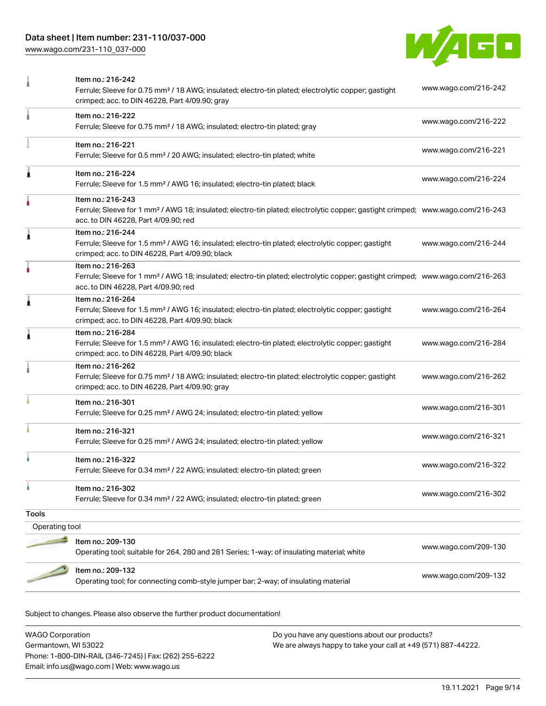## Data sheet | Item number: 231-110/037-000

[www.wago.com/231-110\\_037-000](http://www.wago.com/231-110_037-000)



|                | Item no.: 216-242                                                                                                                                                 |                      |
|----------------|-------------------------------------------------------------------------------------------------------------------------------------------------------------------|----------------------|
|                | Ferrule; Sleeve for 0.75 mm <sup>2</sup> / 18 AWG; insulated; electro-tin plated; electrolytic copper; gastight<br>crimped; acc. to DIN 46228, Part 4/09.90; gray | www.wago.com/216-242 |
|                | Item no.: 216-222                                                                                                                                                 | www.wago.com/216-222 |
|                | Ferrule; Sleeve for 0.75 mm <sup>2</sup> / 18 AWG; insulated; electro-tin plated; gray                                                                            |                      |
|                | Item no.: 216-221                                                                                                                                                 |                      |
|                | Ferrule; Sleeve for 0.5 mm <sup>2</sup> / 20 AWG; insulated; electro-tin plated; white                                                                            | www.wago.com/216-221 |
| Â              | Item no.: 216-224                                                                                                                                                 |                      |
|                | Ferrule; Sleeve for 1.5 mm <sup>2</sup> / AWG 16; insulated; electro-tin plated; black                                                                            | www.wago.com/216-224 |
|                | Item no.: 216-243                                                                                                                                                 |                      |
|                | Ferrule; Sleeve for 1 mm <sup>2</sup> / AWG 18; insulated; electro-tin plated; electrolytic copper; gastight crimped; www.wago.com/216-243                        |                      |
|                | acc. to DIN 46228, Part 4/09.90; red                                                                                                                              |                      |
| Â              | Item no.: 216-244<br>Ferrule; Sleeve for 1.5 mm <sup>2</sup> / AWG 16; insulated; electro-tin plated; electrolytic copper; gastight                               | www.wago.com/216-244 |
|                | crimped; acc. to DIN 46228, Part 4/09.90; black                                                                                                                   |                      |
|                | Item no.: 216-263                                                                                                                                                 |                      |
|                | Ferrule; Sleeve for 1 mm <sup>2</sup> / AWG 18; insulated; electro-tin plated; electrolytic copper; gastight crimped; www.wago.com/216-263                        |                      |
|                | acc. to DIN 46228, Part 4/09.90; red                                                                                                                              |                      |
| 1              | Item no.: 216-264                                                                                                                                                 |                      |
|                | Ferrule; Sleeve for 1.5 mm <sup>2</sup> / AWG 16; insulated; electro-tin plated; electrolytic copper; gastight<br>crimped; acc. to DIN 46228, Part 4/09.90; black | www.wago.com/216-264 |
|                | Item no.: 216-284                                                                                                                                                 |                      |
| Â              | Ferrule; Sleeve for 1.5 mm <sup>2</sup> / AWG 16; insulated; electro-tin plated; electrolytic copper; gastight                                                    | www.wago.com/216-284 |
|                | crimped; acc. to DIN 46228, Part 4/09.90; black                                                                                                                   |                      |
|                | Item no.: 216-262                                                                                                                                                 |                      |
|                | Ferrule; Sleeve for 0.75 mm <sup>2</sup> / 18 AWG; insulated; electro-tin plated; electrolytic copper; gastight                                                   | www.wago.com/216-262 |
|                | crimped; acc. to DIN 46228, Part 4/09.90; gray                                                                                                                    |                      |
|                | Item no.: 216-301                                                                                                                                                 | www.wago.com/216-301 |
|                | Ferrule; Sleeve for 0.25 mm <sup>2</sup> / AWG 24; insulated; electro-tin plated; yellow                                                                          |                      |
|                | Item no.: 216-321                                                                                                                                                 | www.wago.com/216-321 |
|                | Ferrule; Sleeve for 0.25 mm <sup>2</sup> / AWG 24; insulated; electro-tin plated; yellow                                                                          |                      |
|                | Item no.: 216-322                                                                                                                                                 |                      |
|                | Ferrule; Sleeve for 0.34 mm <sup>2</sup> / 22 AWG; insulated; electro-tin plated; green                                                                           | www.wago.com/216-322 |
|                | Item no.: 216-302                                                                                                                                                 |                      |
|                | Ferrule; Sleeve for 0.34 mm <sup>2</sup> / 22 AWG; insulated; electro-tin plated; green                                                                           | www.wago.com/216-302 |
| <b>Tools</b>   |                                                                                                                                                                   |                      |
| Operating tool |                                                                                                                                                                   |                      |
|                | Item no.: 209-130                                                                                                                                                 |                      |
|                | Operating tool; suitable for 264, 280 and 281 Series; 1-way; of insulating material; white                                                                        | www.wago.com/209-130 |
|                |                                                                                                                                                                   |                      |
|                | Item no.: 209-132<br>Operating tool; for connecting comb-style jumper bar; 2-way; of insulating material                                                          | www.wago.com/209-132 |
|                |                                                                                                                                                                   |                      |

Subject to changes. Please also observe the further product documentation!

WAGO Corporation Germantown, WI 53022 Phone: 1-800-DIN-RAIL (346-7245) | Fax: (262) 255-6222 Email: info.us@wago.com | Web: www.wago.us Do you have any questions about our products? We are always happy to take your call at +49 (571) 887-44222.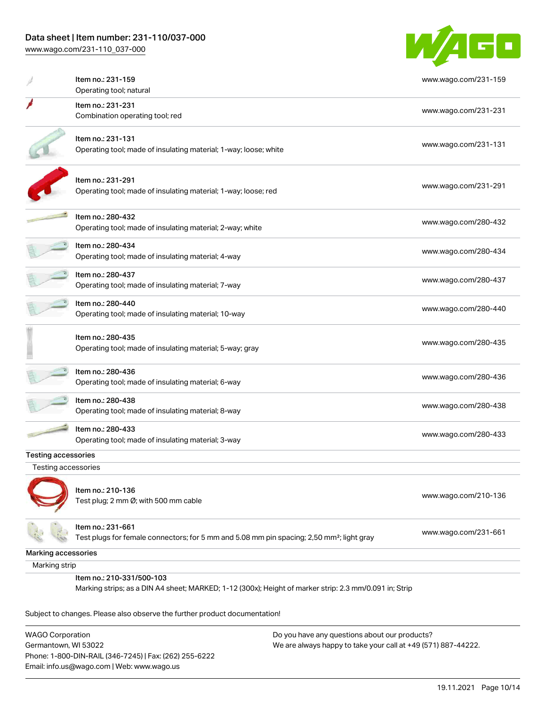[www.wago.com/231-110\\_037-000](http://www.wago.com/231-110_037-000)



|                            | Item no.: 231-159                                                                                      | www.wago.com/231-159 |
|----------------------------|--------------------------------------------------------------------------------------------------------|----------------------|
|                            | Operating tool; natural                                                                                |                      |
|                            | Item no.: 231-231                                                                                      | www.wago.com/231-231 |
|                            | Combination operating tool; red                                                                        |                      |
|                            | Item no.: 231-131                                                                                      |                      |
|                            | Operating tool; made of insulating material; 1-way; loose; white                                       | www.wago.com/231-131 |
|                            | Item no.: 231-291                                                                                      |                      |
|                            | Operating tool; made of insulating material; 1-way; loose; red                                         | www.wago.com/231-291 |
|                            | Item no.: 280-432                                                                                      |                      |
|                            | Operating tool; made of insulating material; 2-way; white                                              | www.wago.com/280-432 |
|                            | Item no.: 280-434                                                                                      | www.wago.com/280-434 |
|                            | Operating tool; made of insulating material; 4-way                                                     |                      |
|                            | ltem no.: 280-437                                                                                      | www.wago.com/280-437 |
|                            | Operating tool; made of insulating material; 7-way                                                     |                      |
|                            | Item no.: 280-440                                                                                      | www.wago.com/280-440 |
|                            | Operating tool; made of insulating material; 10-way                                                    |                      |
|                            | Item no.: 280-435                                                                                      |                      |
|                            | Operating tool; made of insulating material; 5-way; gray                                               | www.wago.com/280-435 |
|                            | Item no.: 280-436                                                                                      | www.wago.com/280-436 |
|                            | Operating tool; made of insulating material; 6-way                                                     |                      |
|                            | Item no.: 280-438                                                                                      | www.wago.com/280-438 |
|                            | Operating tool; made of insulating material; 8-way                                                     |                      |
|                            | Item no.: 280-433                                                                                      | www.wago.com/280-433 |
|                            | Operating tool; made of insulating material; 3-way                                                     |                      |
| <b>Testing accessories</b> |                                                                                                        |                      |
| Testing accessories        |                                                                                                        |                      |
|                            | Item no.: 210-136                                                                                      |                      |
|                            | Test plug; 2 mm Ø; with 500 mm cable                                                                   | www.wago.com/210-136 |
|                            | Item no.: 231-661                                                                                      |                      |
|                            | Test plugs for female connectors; for 5 mm and 5.08 mm pin spacing; 2,50 mm <sup>2</sup> ; light gray  | www.wago.com/231-661 |
| Marking accessories        |                                                                                                        |                      |
| Marking strip              |                                                                                                        |                      |
|                            | Item no.: 210-331/500-103                                                                              |                      |
|                            | Marking strips; as a DIN A4 sheet; MARKED; 1-12 (300x); Height of marker strip: 2.3 mm/0.091 in; Strip |                      |

Subject to changes. Please also observe the further product documentation!

WAGO Corporation Germantown, WI 53022 Phone: 1-800-DIN-RAIL (346-7245) | Fax: (262) 255-6222 Email: info.us@wago.com | Web: www.wago.us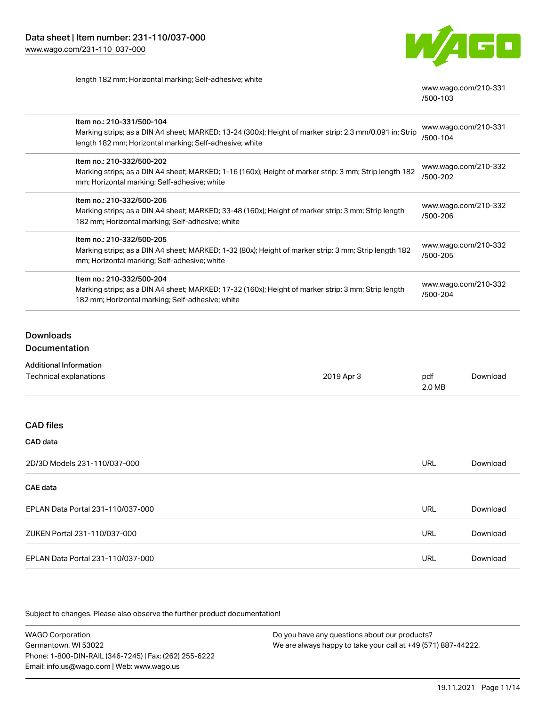

length 182 mm; Horizontal marking; Self-adhesive; white

[www.wago.com/210-331](http://www.wago.com/210-331/500-103) [/500-103](http://www.wago.com/210-331/500-103)

| Item no.: 210-331/500-104<br>Marking strips; as a DIN A4 sheet; MARKED; 13-24 (300x); Height of marker strip: 2.3 mm/0.091 in; Strip<br>length 182 mm; Horizontal marking; Self-adhesive; white | www.wago.com/210-331<br>/500-104 |
|-------------------------------------------------------------------------------------------------------------------------------------------------------------------------------------------------|----------------------------------|
| Item no.: 210-332/500-202<br>Marking strips; as a DIN A4 sheet; MARKED; 1-16 (160x); Height of marker strip: 3 mm; Strip length 182<br>mm; Horizontal marking; Self-adhesive; white             | www.wago.com/210-332<br>/500-202 |
| Item no.: 210-332/500-206<br>Marking strips; as a DIN A4 sheet; MARKED; 33-48 (160x); Height of marker strip: 3 mm; Strip length<br>182 mm; Horizontal marking; Self-adhesive; white            | www.wago.com/210-332<br>/500-206 |
| Item no.: 210-332/500-205<br>Marking strips; as a DIN A4 sheet; MARKED; 1-32 (80x); Height of marker strip: 3 mm; Strip length 182<br>mm; Horizontal marking; Self-adhesive; white              | www.wago.com/210-332<br>/500-205 |
| Item no.: 210-332/500-204<br>Marking strips; as a DIN A4 sheet; MARKED; 17-32 (160x); Height of marker strip: 3 mm; Strip length<br>182 mm; Horizontal marking; Self-adhesive; white            | www.wago.com/210-332<br>/500-204 |

## Downloads

#### **Documentation**

| <b>Additional Information</b> |
|-------------------------------|
|                               |

| Technical explanations            | 2019 Apr 3 | pdf<br>2.0 MB | Download |
|-----------------------------------|------------|---------------|----------|
|                                   |            |               |          |
| <b>CAD files</b>                  |            |               |          |
| CAD data                          |            |               |          |
| 2D/3D Models 231-110/037-000      |            | <b>URL</b>    | Download |
| <b>CAE</b> data                   |            |               |          |
| EPLAN Data Portal 231-110/037-000 |            | <b>URL</b>    | Download |
| ZUKEN Portal 231-110/037-000      |            | <b>URL</b>    | Download |
| EPLAN Data Portal 231-110/037-000 |            | <b>URL</b>    | Download |

Subject to changes. Please also observe the further product documentation!

WAGO Corporation Germantown, WI 53022 Phone: 1-800-DIN-RAIL (346-7245) | Fax: (262) 255-6222 Email: info.us@wago.com | Web: www.wago.us Do you have any questions about our products? We are always happy to take your call at +49 (571) 887-44222.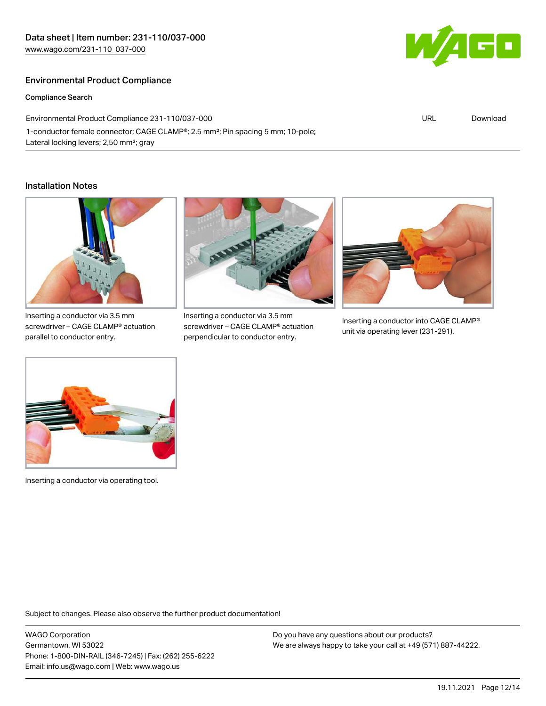## Environmental Product Compliance

Compliance Search

Environmental Product Compliance 231-110/037-000 1-conductor female connector; CAGE CLAMP®; 2.5 mm²; Pin spacing 5 mm; 10-pole; Lateral locking levers; 2,50 mm²; gray

#### Installation Notes



screwdriver – CAGE CLAMP® actuation parallel to conductor entry.



Inserting a conductor via 3.5 mm screwdriver – CAGE CLAMP® actuation perpendicular to conductor entry.



Inserting a conductor into CAGE CLAMP® unit via operating lever (231-291).



Inserting a conductor via operating tool.

Subject to changes. Please also observe the further product documentation!

WAGO Corporation Germantown, WI 53022 Phone: 1-800-DIN-RAIL (346-7245) | Fax: (262) 255-6222 Email: info.us@wago.com | Web: www.wago.us

Do you have any questions about our products? We are always happy to take your call at +49 (571) 887-44222.



URL [Download](https://www.wago.com/global/d/ComplianceLinkMediaContainer_231-110_037-000)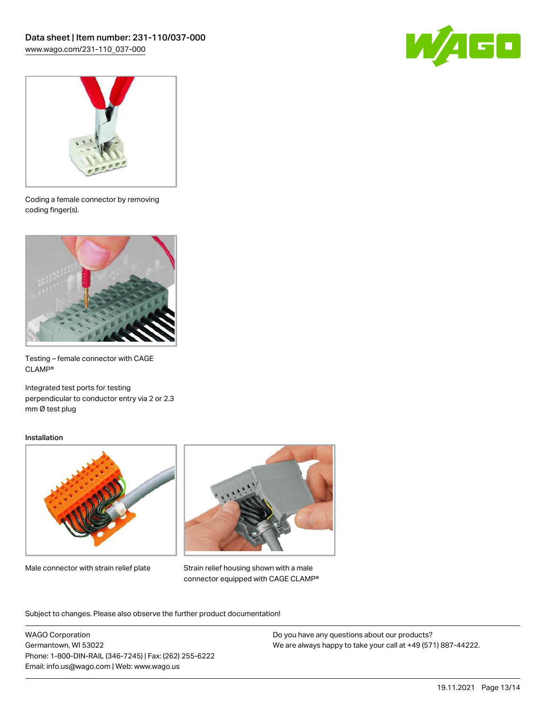



Coding a female connector by removing coding finger(s).



Testing – female connector with CAGE CLAMP®

Integrated test ports for testing perpendicular to conductor entry via 2 or 2.3 mm Ø test plug

#### Installation



Male connector with strain relief plate



Strain relief housing shown with a male connector equipped with CAGE CLAMP®

Subject to changes. Please also observe the further product documentation!

WAGO Corporation Germantown, WI 53022 Phone: 1-800-DIN-RAIL (346-7245) | Fax: (262) 255-6222 Email: info.us@wago.com | Web: www.wago.us